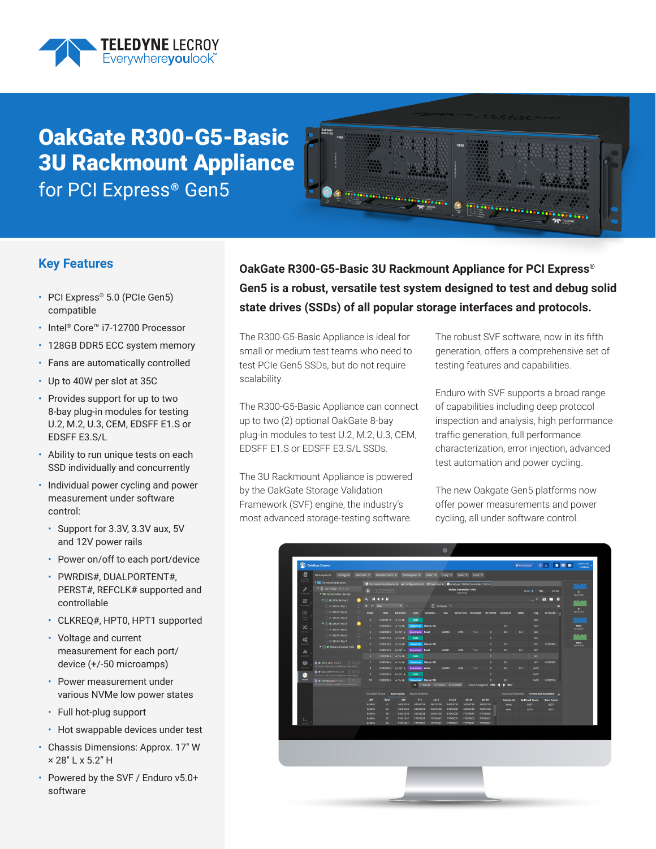

# OakGate R300-G5-Basic 3U Rackmount Appliance for PCI Express® Gen5



#### **Key Features**

- PCI Express® 5.0 (PCIe Gen5) compatible
- Intel® Core™ i7-12700 Processor
- 128GB DDR5 ECC system memory
- Fans are automatically controlled
- Up to 40W per slot at 35C
- Provides support for up to two 8-bay plug-in modules for testing U.2, M.2, U.3, CEM, EDSFF E1.S or EDSFF E3.S/L
- Ability to run unique tests on each SSD individually and concurrently
- Individual power cycling and power measurement under software control:
	- Support for 3.3V, 3.3V aux, 5V and 12V power rails
	- Power on/off to each port/device
	- PWRDIS#, DUALPORTENT#, PERST#, REFCLK# supported and controllable
	- CLKREQ#, HPT0, HPT1 supported
	- Voltage and current measurement for each port/ device (+/-50 microamps)
	- Power measurement under various NVMe low power states
	- Full hot-plug support
	- Hot swappable devices under test
- Chassis Dimensions: Approx. 17" W × 28" L x 5.2" H
- Powered by the SVF / Enduro v5.0+ software

### **OakGate R300-G5-Basic 3U Rackmount Appliance for PCI Express® Gen5 is a robust, versatile test system designed to test and debug solid state drives (SSDs) of all popular storage interfaces and protocols.**

The R300-G5-Basic Appliance is ideal for small or medium test teams who need to test PCIe Gen5 SSDs, but do not require scalability.

The R300-G5-Basic Appliance can connect up to two (2) optional OakGate 8-bay plug-in modules to test U.2, M.2, U.3, CEM, EDSFF E1.S or EDSFF E3.S/L SSDs.

The 3U Rackmount Appliance is powered by the OakGate Storage Validation Framework (SVF) engine, the industry's most advanced storage-testing software.

The robust SVF software, now in its fifth generation, offers a comprehensive set of testing features and capabilities.

Enduro with SVF supports a broad range of capabilities including deep protocol inspection and analysis, high performance traffic generation, full performance characterization, error injection, advanced test automation and power cycling.

The new Oakgate Gen5 platforms now offer power measurements and power cycling, all under software control.